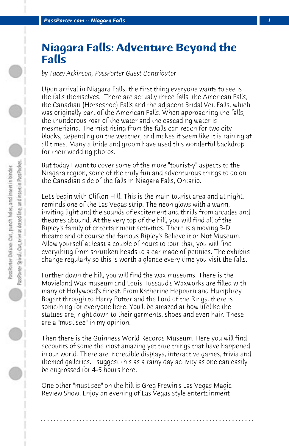## **Niagara Falls: Adventure Beyond the Falls**

*by Tacey Atkinson, PassPorter Guest Contributor*

Upon arrival in Niagara Falls, the first thing everyone wants to see is the falls themselves. There are actually three falls, the American Falls, the Canadian (Horseshoe) Falls and the adjacent Bridal Veil Falls, which was originally part of the American Falls. When approaching the falls, the thunderous roar of the water and the cascading water is mesmerizing. The mist rising from the falls can reach for two city blocks, depending on the weather, and makes it seem like it is raining at all times. Many a bride and groom have used this wonderful backdrop for their wedding photos.

But today I want to cover some of the more "tourist-y" aspects to the Niagara region, some of the truly fun and adventurous things to do on the Canadian side of the falls in Niagara Falls, Ontario.

Let's begin with Clifton Hill. This is the main tourist area and at night, reminds one of the Las Vegas strip. The neon glows with a warm, inviting light and the sounds of excitement and thrills from arcades and theatres abound. At the very top of the hill, you will find all of the Ripley's family of entertainment activities. There is a moving 3-D theatre and of course the famous Ripley's Believe it or Not Museum. Allow yourself at least a couple of hours to tour that, you will find everything from shrunken heads to a car made of pennies. The exhibits change regularly so this is worth a glance every time you visit the falls.

Further down the hill, you will find the wax museums. There is the Movieland Wax museum and Louis Tussaud's Waxworks are filled with many of Hollywood's finest. From Katherine Hepburn and Humphrey Bogart through to Harry Potter and the Lord of the Rings, there is something for everyone here. You'll be amazed at how lifelike the statues are, right down to their garments, shoes and even hair. These are a "must see" in my opinion.

Then there is the Guinness World Records Museum. Here you will find accounts of some the most amazing yet true things that have happened in our world. There are incredible displays, interactive games, trivia and themed galleries. I suggest this as a rainy day activity as one can easily be engrossed for 4-5 hours here.

**. . . . . . . . . . . . . . . . . . . . . . . . . . . . . . . . . . . . . . . . . . . . . . . . . . . . . . . . . . . . . . . . . .**

One other "must see" on the hill is Greg Frewin's Las Vegas Magic Review Show. Enjoy an evening of Las Vegas style entertainment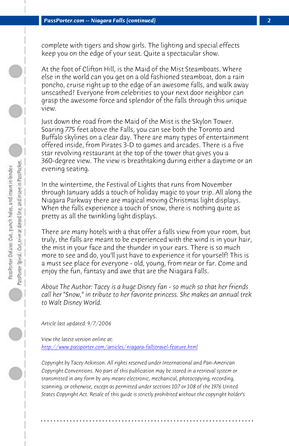complete with tigers and show girls. The lighting and special effects keep you on the edge of your seat. Quite a spectacular show.

At the foot of Clifton Hill, is the Maid of the Mist Steamboats. Where else in the world can you get on a old fashioned steamboat, don a rain poncho, cruise right up to the edge of an awesome falls, and walk away unscathed? Everyone from celebrities to your next door neighbor can grasp the awesome force and splendor of the falls through this unique view.

Just down the road from the Maid of the Mist is the Skylon Tower. Soaring 775 feet above the Falls, you can see both the Toronto and Buffalo skylines on a clear day. There are many types of entertainment offered inside, from Pirates 3-D to games and arcades. There is a five star revolving restaurant at the top of the tower that gives you a 360-degree view. The view is breathtaking during either a daytime or an evening seating.

In the wintertime, the Festival of Lights that runs from November through January adds a touch of holiday magic to your trip. All along the Niagara Parkway there are magical moving Christmas light displays. When the falls experience a touch of snow, there is nothing quite as [pretty as all the twinkling light displays.](http://www.passporter.com/articles/niagara-fallstravel-feature.php) 

There are many hotels with a that offer a falls view from your room, but truly, the falls are meant to be experienced with the wind is in your hair, the mist in your face and the thunder in your ears. There is so much more to see and do, you'll just have to experience it for yourself! This is a must see place for everyone - old, young, from near or far. Come and enjoy the fun, fantasy and awe that are the Niagara Falls.

*About The Author: Tacey is a huge Disney fan - so much so that her friends call her "Snow," in tribute to her favorite princess. She makes an annual trek to Walt Disney World.*

*Article last updated: 9/7/2006*

*View the latest version online at: http://www.passporter.com/articles/niagara-fallstravel-feature.html*

*Copyright by Tacey Atkinson. All rights reserved under International and Pan-American Copyright Conventions. No part of this publication may be stored in a retrieval system or transmitted in any form by any means electronic, mechanical, photocopying, recording, scanning, or otherwise, except as permitted under sections 107 or 108 of the 1976 United States Copyright Act. Resale of this guide is strictly prohibited without the copyright holder's*

**. . . . . . . . . . . . . . . . . . . . . . . . . . . . . . . . . . . . . . . . . . . . . . . . . . . . . . . . . . . . . . . . . .**